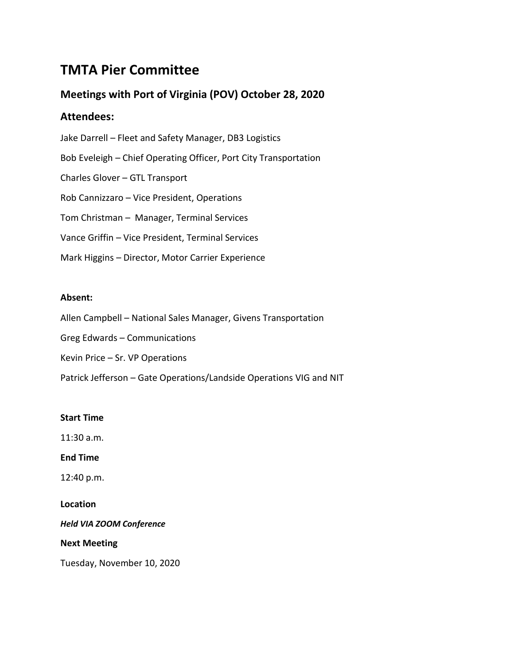# **TMTA Pier Committee**

# **Meetings with Port of Virginia (POV) October 28, 2020**

### **Attendees:**

Jake Darrell – Fleet and Safety Manager, DB3 Logistics Bob Eveleigh – Chief Operating Officer, Port City Transportation Charles Glover – GTL Transport Rob Cannizzaro – Vice President, Operations Tom Christman – Manager, Terminal Services Vance Griffin – Vice President, Terminal Services Mark Higgins – Director, Motor Carrier Experience

### **Absent:**

Allen Campbell – National Sales Manager, Givens Transportation

Greg Edwards – Communications

Kevin Price – Sr. VP Operations

Patrick Jefferson – Gate Operations/Landside Operations VIG and NIT

### **Start Time**

11:30 a.m.

**End Time**

12:40 p.m.

**Location**

*Held VIA ZOOM Conference*

**Next Meeting**

Tuesday, November 10, 2020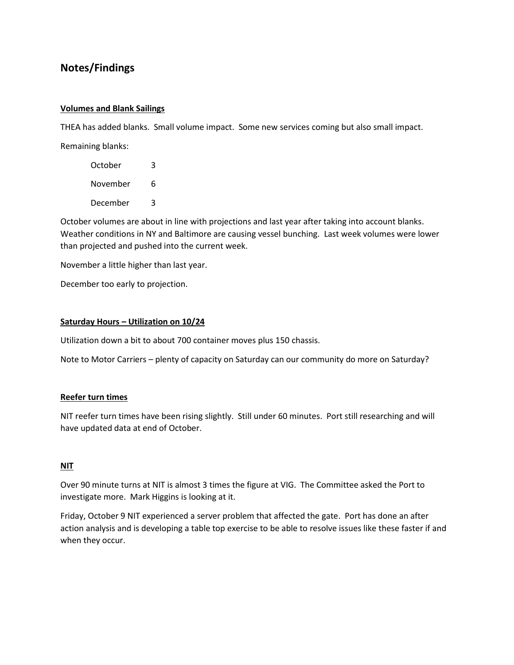## **Notes/Findings**

#### **Volumes and Blank Sailings**

THEA has added blanks. Small volume impact. Some new services coming but also small impact. Remaining blanks:

October 3 November 6 December 3

October volumes are about in line with projections and last year after taking into account blanks. Weather conditions in NY and Baltimore are causing vessel bunching. Last week volumes were lower than projected and pushed into the current week.

November a little higher than last year.

December too early to projection.

#### **Saturday Hours – Utilization on 10/24**

Utilization down a bit to about 700 container moves plus 150 chassis.

Note to Motor Carriers – plenty of capacity on Saturday can our community do more on Saturday?

#### **Reefer turn times**

NIT reefer turn times have been rising slightly. Still under 60 minutes. Port still researching and will have updated data at end of October.

#### **NIT**

Over 90 minute turns at NIT is almost 3 times the figure at VIG. The Committee asked the Port to investigate more. Mark Higgins is looking at it.

Friday, October 9 NIT experienced a server problem that affected the gate. Port has done an after action analysis and is developing a table top exercise to be able to resolve issues like these faster if and when they occur.